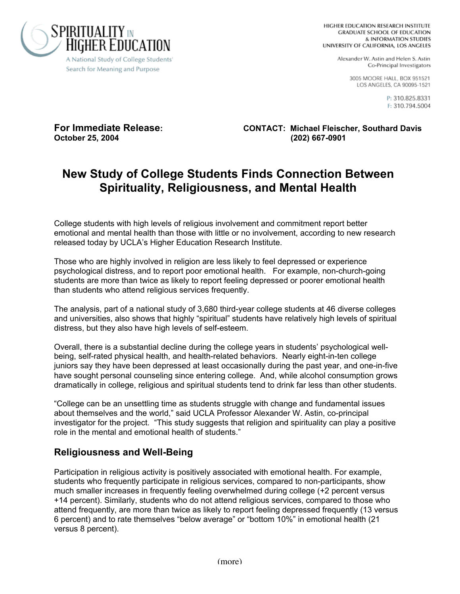

Alexander W. Astin and Helen S. Astin Co-Principal Investigators

> 3005 MOORE HALL, BOX 951521 LOS ANGELES, CA 90095-1521

> > P: 310.825.8331 F: 310.794.5004

**October 25, 2004 (202) 667-0901**

**For Immediate Release: CONTACT: Michael Fleischer, Southard Davis**

# **New Study of College Students Finds Connection Between Spirituality, Religiousness, and Mental Health**

College students with high levels of religious involvement and commitment report better emotional and mental health than those with little or no involvement, according to new research released today by UCLA's Higher Education Research Institute.

Those who are highly involved in religion are less likely to feel depressed or experience psychological distress, and to report poor emotional health. For example, non-church-going students are more than twice as likely to report feeling depressed or poorer emotional health than students who attend religious services frequently.

The analysis, part of a national study of 3,680 third-year college students at 46 diverse colleges and universities, also shows that highly "spiritual" students have relatively high levels of spiritual distress, but they also have high levels of self-esteem.

Overall, there is a substantial decline during the college years in students' psychological wellbeing, self-rated physical health, and health-related behaviors. Nearly eight-in-ten college juniors say they have been depressed at least occasionally during the past year, and one-in-five have sought personal counseling since entering college. And, while alcohol consumption grows dramatically in college, religious and spiritual students tend to drink far less than other students.

"College can be an unsettling time as students struggle with change and fundamental issues about themselves and the world," said UCLA Professor Alexander W. Astin, co-principal investigator for the project. "This study suggests that religion and spirituality can play a positive role in the mental and emotional health of students."

#### **Religiousness and Well-Being**

Participation in religious activity is positively associated with emotional health. For example, students who frequently participate in religious services, compared to non-participants, show much smaller increases in frequently feeling overwhelmed during college (+2 percent versus +14 percent). Similarly, students who do not attend religious services, compared to those who attend frequently, are more than twice as likely to report feeling depressed frequently (13 versus 6 percent) and to rate themselves "below average" or "bottom 10%" in emotional health (21 versus 8 percent).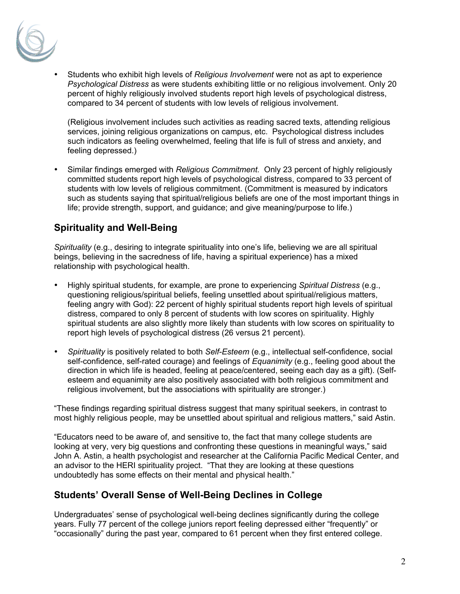

• Students who exhibit high levels of *Religious Involvement* were not as apt to experience *Psychological Distress* as were students exhibiting little or no religious involvement. Only 20 percent of highly religiously involved students report high levels of psychological distress, compared to 34 percent of students with low levels of religious involvement.

(Religious involvement includes such activities as reading sacred texts, attending religious services, joining religious organizations on campus, etc. Psychological distress includes such indicators as feeling overwhelmed, feeling that life is full of stress and anxiety, and feeling depressed.)

• Similar findings emerged with *Religious Commitment.* Only 23 percent of highly religiously committed students report high levels of psychological distress, compared to 33 percent of students with low levels of religious commitment. (Commitment is measured by indicators such as students saying that spiritual/religious beliefs are one of the most important things in life; provide strength, support, and guidance; and give meaning/purpose to life.)

# **Spirituality and Well-Being**

*Spirituality* (e.g., desiring to integrate spirituality into one's life, believing we are all spiritual beings, believing in the sacredness of life, having a spiritual experience) has a mixed relationship with psychological health.

- Highly spiritual students, for example, are prone to experiencing *Spiritual Distress* (e.g., questioning religious/spiritual beliefs, feeling unsettled about spiritual/religious matters, feeling angry with God): 22 percent of highly spiritual students report high levels of spiritual distress, compared to only 8 percent of students with low scores on spirituality. Highly spiritual students are also slightly more likely than students with low scores on spirituality to report high levels of psychological distress (26 versus 21 percent).
- *Spirituality* is positively related to both *Self-Esteem* (e.g., intellectual self-confidence, social self-confidence, self-rated courage) and feelings of *Equanimity* (e.g., feeling good about the direction in which life is headed, feeling at peace/centered, seeing each day as a gift). (Selfesteem and equanimity are also positively associated with both religious commitment and religious involvement, but the associations with spirituality are stronger.)

"These findings regarding spiritual distress suggest that many spiritual seekers, in contrast to most highly religious people, may be unsettled about spiritual and religious matters," said Astin.

"Educators need to be aware of, and sensitive to, the fact that many college students are looking at very, very big questions and confronting these questions in meaningful ways," said John A. Astin, a health psychologist and researcher at the California Pacific Medical Center, and an advisor to the HERI spirituality project. "That they are looking at these questions undoubtedly has some effects on their mental and physical health."

## **Students' Overall Sense of Well-Being Declines in College**

Undergraduates' sense of psychological well-being declines significantly during the college years. Fully 77 percent of the college juniors report feeling depressed either "frequently" or "occasionally" during the past year, compared to 61 percent when they first entered college.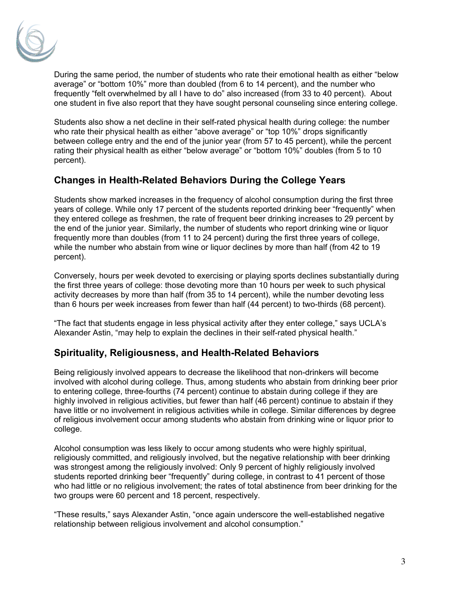

During the same period, the number of students who rate their emotional health as either "below average" or "bottom 10%" more than doubled (from 6 to 14 percent), and the number who frequently "felt overwhelmed by all I have to do" also increased (from 33 to 40 percent). About one student in five also report that they have sought personal counseling since entering college.

Students also show a net decline in their self-rated physical health during college: the number who rate their physical health as either "above average" or "top 10%" drops significantly between college entry and the end of the junior year (from 57 to 45 percent), while the percent rating their physical health as either "below average" or "bottom 10%" doubles (from 5 to 10 percent).

#### **Changes in Health-Related Behaviors During the College Years**

Students show marked increases in the frequency of alcohol consumption during the first three years of college. While only 17 percent of the students reported drinking beer "frequently" when they entered college as freshmen, the rate of frequent beer drinking increases to 29 percent by the end of the junior year. Similarly, the number of students who report drinking wine or liquor frequently more than doubles (from 11 to 24 percent) during the first three years of college, while the number who abstain from wine or liquor declines by more than half (from 42 to 19 percent).

Conversely, hours per week devoted to exercising or playing sports declines substantially during the first three years of college: those devoting more than 10 hours per week to such physical activity decreases by more than half (from 35 to 14 percent), while the number devoting less than 6 hours per week increases from fewer than half (44 percent) to two-thirds (68 percent).

"The fact that students engage in less physical activity after they enter college," says UCLA's Alexander Astin, "may help to explain the declines in their self-rated physical health."

## **Spirituality, Religiousness, and Health-Related Behaviors**

Being religiously involved appears to decrease the likelihood that non-drinkers will become involved with alcohol during college. Thus, among students who abstain from drinking beer prior to entering college, three-fourths (74 percent) continue to abstain during college if they are highly involved in religious activities, but fewer than half (46 percent) continue to abstain if they have little or no involvement in religious activities while in college. Similar differences by degree of religious involvement occur among students who abstain from drinking wine or liquor prior to college.

Alcohol consumption was less likely to occur among students who were highly spiritual, religiously committed, and religiously involved, but the negative relationship with beer drinking was strongest among the religiously involved: Only 9 percent of highly religiously involved students reported drinking beer "frequently" during college, in contrast to 41 percent of those who had little or no religious involvement; the rates of total abstinence from beer drinking for the two groups were 60 percent and 18 percent, respectively.

"These results," says Alexander Astin, "once again underscore the well-established negative relationship between religious involvement and alcohol consumption."